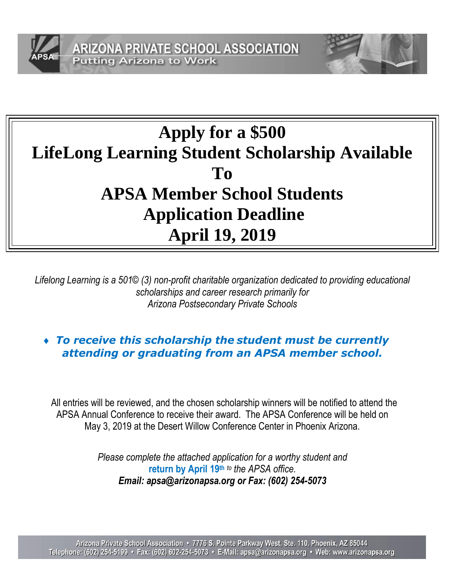



# **Apply for a \$500 LifeLong Learning Student Scholarship Available To APSA Member School Students Application Deadline April 19, 2019**

*Lifelong Learning is a 501© (3) non-profit charitable organization dedicated to providing educational scholarships and career research primarily for Arizona Postsecondary Private Schools*

## *To receive this scholarship the student must be currently attending or graduating from an APSA member school.*

All entries will be reviewed, and the chosen scholarship winners will be notified to attend the APSA Annual Conference to receive their award. The APSA Conference will be held on May 3, 2019 at the Desert Willow Conference Center in Phoenix Arizona.

> *Please complete the attached application for a worthy student and*  **return by April 19th** *to the APSA office. Email: apsa@arizonapsa.org or Fax: (602) 254-5073*